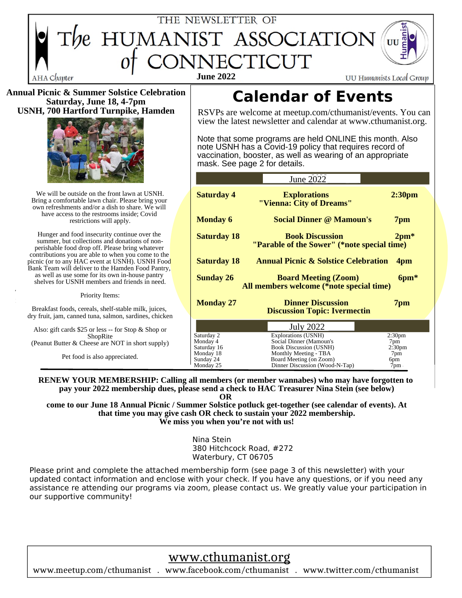

**Annual Picnic & Summer Solstice Celebration Saturday, June 18, 4-7pm USNH, 700 Hartford Turnpike, Hamden**



We will be outside on the front lawn at USNH. Bring a comfortable lawn chair. Please bring your own refreshments and/or a dish to share. We will have access to the restrooms inside; Covid restrictions will apply.

picnic (or to any HAC event at USNH). USNH Food Hunger and food insecurity continue over the summer, but collections and donations of nonperishable food drop off. Please bring whatever contributions you are able to when you come to the Bank Team will deliver to the Hamden Food Pantry, as well as use some for its own in-house pantry shelves for USNH members and friends in need.

There will be a sheet cake, as is our annual tradition,  $\frac{1}{\sqrt{2}}$  and  $\frac{1}{\sqrt{2}}$  and  $\frac{1}{\sqrt{2}}$  and  $\frac{1}{\sqrt{2}}$  and  $\frac{1}{\sqrt{2}}$  and  $\frac{1}{\sqrt{2}}$  and  $\frac{1}{\sqrt{2}}$  and  $\frac{1}{\sqrt{2}}$  and  $\frac{1}{\sqrt{2}}$  and  $\frac{1}{\sqrt{2}}$  in celebration of Hackers and  $\overline{a}$ 

Breakfast foods, cereals, shelf-stable milk, juices, dry fruit, jam, canned tuna, salmon, sardines, chicken

Also: gift cards \$25 or less -- for Stop & Shop or ShopRite (Peanut Butter & Cheese are NOT in short supply)

https://www.cthumanist.org/foodshare Pet food is also appreciated.

# **Calendar of Events**

RSVPs are welcome at meetup.com/cthumanist/events. You can view the latest newsletter and calendar at www.cthumanist.org.

Note that some programs are held ONLINE this month. Also note USNH has a Covid-19 policy that requires record of vaccination, booster, as well as wearing of an appropriate mask. See page 2 for details.

**June 2022** 

| <b>Saturday 4</b>        | <b>Explorations</b><br>"Vienna: City of Dreams"                                 | 2:30 <sub>pm</sub>        |
|--------------------------|---------------------------------------------------------------------------------|---------------------------|
| <b>Monday 6</b>          | <b>Social Dinner @ Mamoun's</b>                                                 | 7pm                       |
| <b>Saturday 18</b>       | <b>Book Discussion</b><br>$2pm*$<br>"Parable of the Sower" (*note special time) |                           |
| <b>Saturday 18</b>       | <b>Annual Picnic &amp; Solstice Celebration</b><br>4 <sub>pm</sub>              |                           |
| <b>Sunday 26</b>         | <b>Board Meeting (Zoom)</b><br>All members welcome (*note special time)         | $6pm*$                    |
| <b>Monday 27</b>         | <b>Dinner Discussion</b><br><b>Discussion Topic: Ivermectin</b>                 | 7pm                       |
|                          | <b>July 2022</b>                                                                |                           |
| Saturday 2               | Explorations (USNH)                                                             | 2:30 <sub>pm</sub>        |
| Monday 4                 | Social Dinner (Mamoun's                                                         | 7pm                       |
| Saturday 16<br>Monday 18 | <b>Book Discussion (USNH)</b><br>Monthly Meeting - TBA                          | 2:30 <sub>pm</sub><br>7pm |
| Sunday 24                | Board Meeting (on Zoom)                                                         | 6pm                       |
| Monday 25                | Dinner Discussion (Wood-N-Tap)                                                  | $7 \text{pm}$             |

**RENEW YOUR MEMBERSHIP: Calling all members (or member wannabes) who may have forgotten to pay your 2022 membership dues, please send a check to HAC Treasurer Nina Stein (see below)**

**OR** 

**come to our June 18 Annual Picnic / Summer Solstice potluck get-together (see calendar of events). At that time you may give cash OR check to sustain your 2022 membership. We miss you when you're not with us!**

> Nina Stein 380 Hitchcock Road, #272 Waterbury, CT 06705

Please print and complete the attached membership form (see page 3 of this newsletter) with your updated contact information and enclose with your check. If you have any questions, or if you need any assistance re attending our programs via zoom, please contact us. We greatly value your participation in our supportive community!

## www.cthumanist.org

www.meetup.com/cthumanist . www.facebook.com/cthumanist . www.twitter.com/cthumanist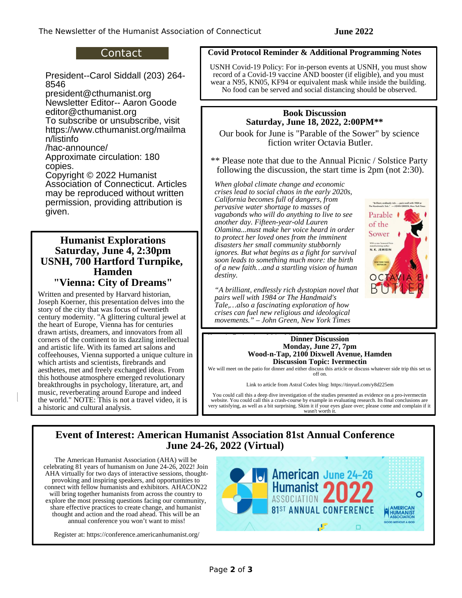#### Contact

President--Carol Siddall (203) 264- 8546

 $8546$ president@cthumanist.org Newsletter Editor-- Aaron Goode editor@cthumanist.org To subscribe or unsubscribe, visit https://www.cthumanist.org/mailma

n/listinfo /hac-announce/

Approximate circulation: 180 copies.

Copyright © 2022 Humanist Association of Connecticut. Articles may be reproduced without written permission, providing attribution is given.

#### **Humanist Explorations Saturday, June 4, 2:30pm USNH, 700 Hartford Turnpike, Hamden "Vienna: City of Dreams"**

the world." NOTE: This is not a travel video, it is a historic and cultural analysis. Written and presented by Harvard historian, Joseph Koerner, this presentation delves into the story of the city that was focus of twentieth century modernity. "A glittering cultural jewel at the heart of Europe, Vienna has for centuries drawn artists, dreamers, and innovators from all corners of the continent to its dazzling intellectual and artistic life. With its famed art salons and coffeehouses, Vienna supported a unique culture in which artists and scientists, firebrands and aesthetes, met and freely exchanged ideas. From this hothouse atmosphere emerged revolutionary breakthroughs in psychology, literature, art, and music, reverberating around Europe and indeed

#### **HACC EXPLORED EXPLORED EX Additional Programming Notes**

USNH Covid-19 Policy: For in-person events at USNH, you must show record of a Covid-19 vaccine AND booster (if eligible), and you must wear a N95, KN05, KF94 or equivalent mask while inside the building. No food can be served and social distancing should be observed.

#### **Book Discussion Saturday, June 18, 2022, 2:00PM\*\***

Our book for June is "Parable of the Sower" by science fiction writer Octavia Butler.

\*\* Please note that due to the Annual Picnic / Solstice Party following the discussion, the start time is 2pm (not 2:30).

crises lead to social chaos in the early 2020s,<br>*California* by expressibility of drug and from pervasive water shortage to masses of *performation to the "*  $\frac{p_e}{p_e}$  *pervasive to the ket Then vagabonds who will do anything to live to see* Parable *another day. Fifteen-year-old Lauren* of the **EXECUTE:** COLUMING THE MANGEMENT COMMUNISMENT TO MELTA THE SOLL CONSERVANCE TO DETERMINE THE SOLL CONSERVANCE THE SOLL CONSERVANCE THE SOLL CONSERVANCE THE SOLL CONSERVANCE THE SOLL CONSERVANCE THE SOLL CONSERVANCE THE SO *disasters her small community stubbornly disasters her small community stubbornly ignores. But what begins as a fight for survival* N.K. JEMISIN soon leads to something much more: the birth *x* of a new faith…and a startling vision of human **and deception**, the *of a new faith***…and a startling vision of human**  $\rho_{\text{d}_{\text{S}}}$  and  $\rho_{\text{d}_{\text{S}}}$  has the quality of an English folk song. *When global climate change and economic California becomes full of dangers, from Olamina...must make her voice heard in order destiny.*

**A** brilliant, endlessly rich dystopian novel that **BUTTER b** of the matter and the transfer of the Handmaid's *pairs well with 1984 or The Handmaid's Tale,...also a fascinating exploration of how* **crises can fuel new religious and ideological** *movements." – John Green, New York Times* 



#### experiences and endurances of my life. – Charles Dickens **This method is much in the in the Monday, June 27, 7pm** n | | **Wood-n-Tap, 2100 Dixwell Avenue, Hamden Dinner Discussion Discussion Topic: Ivermectin**

We will meet on the patio for dinner and either discuss this article or discuss whatever side trip this set us off on.

Link to article from Astral Codex blog: https://tinyurl.com/y8d225em

You could call this a deep dive investigation of the studies presented as evidence on a pro-ivermectin website. You could call this a crash-course by example in evaluating research. Its final conclusions are very satisfying, as well as a bit surprising. Skim it if your eyes glaze over; please come and complain if it wasn't worth it.

### **Event of Interest: American Humanist Association 81st Annual Conference June 24-26, 2022 (Virtual)**

annual conference you won't want to miss! The American Humanist Association (AHA) will be AHA virtually for two days of interactive sessions, thoughtprovoking and inspiring speakers, and opportunities to connect with fellow humanists and exhibitors. AHACON22 will bring together humanists from across the country to explore the most pressing questions facing our community, share effective practices to create change, and humanist thought and action and the road ahead. This will be an